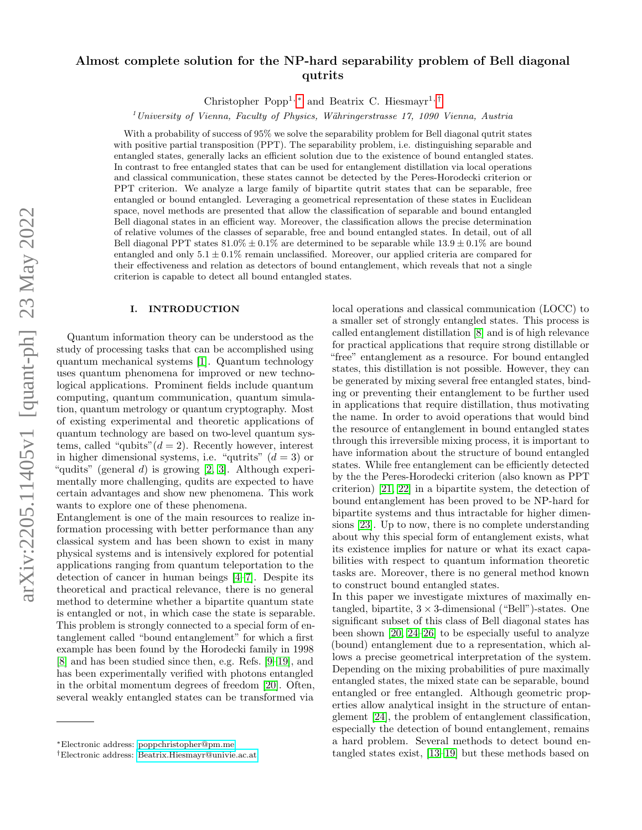# Almost complete solution for the NP-hard separability problem of Bell diagonal qutrits

Christopher Popp<sup>1,\*</sup> and Beatrix C. Hiesmayr<sup>1,[†](#page-0-1)</sup>

 $1$ University of Vienna, Faculty of Physics, Währingerstrasse 17, 1090 Vienna, Austria

With a probability of success of 95% we solve the separability problem for Bell diagonal qutrit states with positive partial transposition (PPT). The separability problem, i.e. distinguishing separable and entangled states, generally lacks an efficient solution due to the existence of bound entangled states. In contrast to free entangled states that can be used for entanglement distillation via local operations and classical communication, these states cannot be detected by the Peres-Horodecki criterion or PPT criterion. We analyze a large family of bipartite qutrit states that can be separable, free entangled or bound entangled. Leveraging a geometrical representation of these states in Euclidean space, novel methods are presented that allow the classification of separable and bound entangled Bell diagonal states in an efficient way. Moreover, the classification allows the precise determination of relative volumes of the classes of separable, free and bound entangled states. In detail, out of all Bell diagonal PPT states  $81.0\% \pm 0.1\%$  are determined to be separable while  $13.9 \pm 0.1\%$  are bound entangled and only  $5.1 \pm 0.1\%$  remain unclassified. Moreover, our applied criteria are compared for their effectiveness and relation as detectors of bound entanglement, which reveals that not a single criterion is capable to detect all bound entangled states.

# I. INTRODUCTION

Quantum information theory can be understood as the study of processing tasks that can be accomplished using quantum mechanical systems [\[1\]](#page-10-0). Quantum technology uses quantum phenomena for improved or new technological applications. Prominent fields include quantum computing, quantum communication, quantum simulation, quantum metrology or quantum cryptography. Most of existing experimental and theoretic applications of quantum technology are based on two-level quantum systems, called "qubits" $(d = 2)$ . Recently however, interest in higher dimensional systems, i.e. "qutrits"  $(d = 3)$  or "qudits" (general d) is growing  $[2, 3]$  $[2, 3]$ . Although experimentally more challenging, qudits are expected to have certain advantages and show new phenomena. This work wants to explore one of these phenomena.

Entanglement is one of the main resources to realize information processing with better performance than any classical system and has been shown to exist in many physical systems and is intensively explored for potential applications ranging from quantum teleportation to the detection of cancer in human beings [\[4](#page-10-3)[–7\]](#page-10-4). Despite its theoretical and practical relevance, there is no general method to determine whether a bipartite quantum state is entangled or not, in which case the state is separable. This problem is strongly connected to a special form of entanglement called "bound entanglement" for which a first example has been found by the Horodecki family in 1998 [\[8\]](#page-10-5) and has been studied since then, e.g. Refs. [\[9–](#page-10-6)[19\]](#page-11-0), and has been experimentally verified with photons entangled in the orbital momentum degrees of freedom [\[20\]](#page-11-1). Often, several weakly entangled states can be transformed via

local operations and classical communication (LOCC) to a smaller set of strongly entangled states. This process is called entanglement distillation [\[8\]](#page-10-5) and is of high relevance for practical applications that require strong distillable or "free" entanglement as a resource. For bound entangled states, this distillation is not possible. However, they can be generated by mixing several free entangled states, binding or preventing their entanglement to be further used in applications that require distillation, thus motivating the name. In order to avoid operations that would bind the resource of entanglement in bound entangled states through this irreversible mixing process, it is important to have information about the structure of bound entangled states. While free entanglement can be efficiently detected by the the Peres-Horodecki criterion (also known as PPT criterion) [\[21,](#page-11-2) [22\]](#page-11-3) in a bipartite system, the detection of bound entanglement has been proved to be NP-hard for bipartite systems and thus intractable for higher dimensions [\[23\]](#page-11-4). Up to now, there is no complete understanding about why this special form of entanglement exists, what its existence implies for nature or what its exact capabilities with respect to quantum information theoretic tasks are. Moreover, there is no general method known to construct bound entangled states.

In this paper we investigate mixtures of maximally entangled, bipartite,  $3 \times 3$ -dimensional ("Bell")-states. One significant subset of this class of Bell diagonal states has been shown [\[20,](#page-11-1) [24–](#page-11-5)[26\]](#page-11-6) to be especially useful to analyze (bound) entanglement due to a representation, which allows a precise geometrical interpretation of the system. Depending on the mixing probabilities of pure maximally entangled states, the mixed state can be separable, bound entangled or free entangled. Although geometric properties allow analytical insight in the structure of entanglement [\[24\]](#page-11-5), the problem of entanglement classification, especially the detection of bound entanglement, remains a hard problem. Several methods to detect bound entangled states exist, [\[13](#page-11-7)[–19\]](#page-11-0) but these methods based on

<span id="page-0-0"></span><sup>∗</sup>Electronic address: [poppchristopher@pm.me](mailto:poppchristopher@pm.me)

<span id="page-0-1"></span><sup>†</sup>Electronic address: [Beatrix.Hiesmayr@univie.ac.at](mailto:Beatrix.Hiesmayr@univie.ac.at)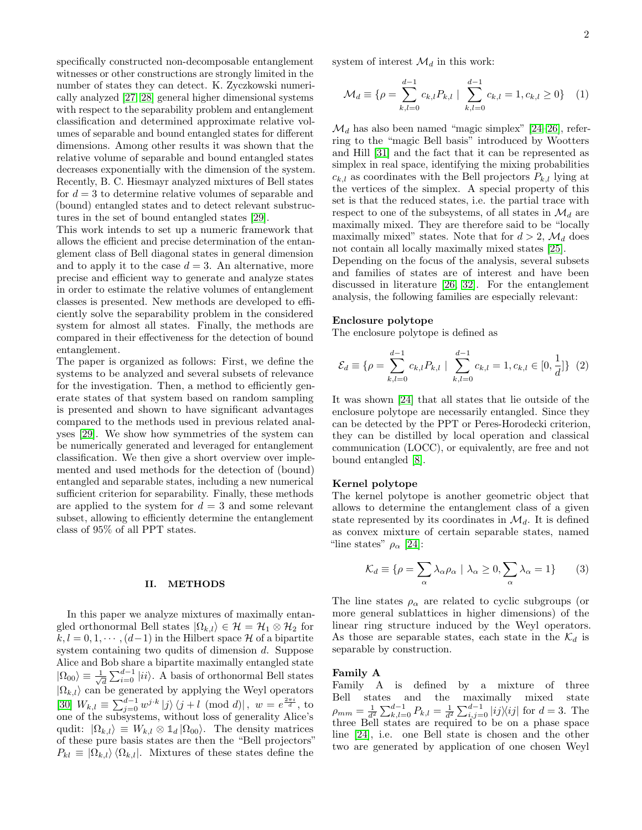specifically constructed non-decomposable entanglement witnesses or other constructions are strongly limited in the number of states they can detect. K. Zyczkowski numerically analyzed [\[27,](#page-11-8) [28\]](#page-11-9) general higher dimensional systems with respect to the separability problem and entanglement classification and determined approximate relative volumes of separable and bound entangled states for different dimensions. Among other results it was shown that the relative volume of separable and bound entangled states decreases exponentially with the dimension of the system. Recently, B. C. Hiesmayr analyzed mixtures of Bell states for  $d = 3$  to determine relative volumes of separable and (bound) entangled states and to detect relevant substructures in the set of bound entangled states [\[29\]](#page-11-10).

This work intends to set up a numeric framework that allows the efficient and precise determination of the entanglement class of Bell diagonal states in general dimension and to apply it to the case  $d = 3$ . An alternative, more precise and efficient way to generate and analyze states in order to estimate the relative volumes of entanglement classes is presented. New methods are developed to efficiently solve the separability problem in the considered system for almost all states. Finally, the methods are compared in their effectiveness for the detection of bound entanglement.

The paper is organized as follows: First, we define the systems to be analyzed and several subsets of relevance for the investigation. Then, a method to efficiently generate states of that system based on random sampling is presented and shown to have significant advantages compared to the methods used in previous related analyses [\[29\]](#page-11-10). We show how symmetries of the system can be numerically generated and leveraged for entanglement classification. We then give a short overview over implemented and used methods for the detection of (bound) entangled and separable states, including a new numerical sufficient criterion for separability. Finally, these methods are applied to the system for  $d = 3$  and some relevant subset, allowing to efficiently determine the entanglement class of 95% of all PPT states.

### II. METHODS

In this paper we analyze mixtures of maximally entangled orthonormal Bell states  $|\Omega_{k,l}\rangle \in \mathcal{H} = \mathcal{H}_1 \otimes \mathcal{H}_2$  for  $k, l = 0, 1, \dots, (d-1)$  in the Hilbert space H of a bipartite system containing two qudits of dimension d. Suppose Alice and Bob share a bipartite maximally entangled state  $|\Omega_{00}\rangle \equiv \frac{1}{\sqrt{2}}$  $\frac{1}{d} \sum_{i=0}^{d-1} |ii\rangle$ . A basis of orthonormal Bell states  $|\Omega_{k,l}\rangle$  can be generated by applying the Weyl operators  $[30]$   $W_{k,l} \equiv \sum_{j=0}^{d-1} w^{j \cdot k} |j \rangle \langle j+l \pmod{d} |, w = e^{\frac{2 \pi i}{d}}, \text{ to}$ one of the subsystems, without loss of generality Alice's qudit:  $|\Omega_{k,l}\rangle \equiv W_{k,l} \otimes \mathbb{1}_d |\Omega_{00}\rangle$ . The density matrices of these pure basis states are then the "Bell projectors"  $P_{kl} \equiv |\Omega_{k,l}\rangle \langle \Omega_{k,l}|.$  Mixtures of these states define the

system of interest  $\mathcal{M}_d$  in this work:

$$
\mathcal{M}_d \equiv \{ \rho = \sum_{k,l=0}^{d-1} c_{k,l} P_{k,l} \mid \sum_{k,l=0}^{d-1} c_{k,l} = 1, c_{k,l} \ge 0 \} \quad (1)
$$

 $\mathcal{M}_d$  has also been named "magic simplex" [\[24](#page-11-5)[–26\]](#page-11-6), referring to the "magic Bell basis" introduced by Wootters and Hill [\[31\]](#page-11-12) and the fact that it can be represented as simplex in real space, identifying the mixing probabilities  $c_{k,l}$  as coordinates with the Bell projectors  $P_{k,l}$  lying at the vertices of the simplex. A special property of this set is that the reduced states, i.e. the partial trace with respect to one of the subsystems, of all states in  $\mathcal{M}_d$  are maximally mixed. They are therefore said to be "locally maximally mixed" states. Note that for  $d > 2$ ,  $\mathcal{M}_d$  does not contain all locally maximally mixed states [\[25\]](#page-11-13).

Depending on the focus of the analysis, several subsets and families of states are of interest and have been discussed in literature [\[26,](#page-11-6) [32\]](#page-11-14). For the entanglement analysis, the following families are especially relevant:

## Enclosure polytope

The enclosure polytope is defined as

$$
\mathcal{E}_d \equiv \{ \rho = \sum_{k,l=0}^{d-1} c_{k,l} P_{k,l} \mid \sum_{k,l=0}^{d-1} c_{k,l} = 1, c_{k,l} \in [0, \frac{1}{d}] \} (2)
$$

It was shown [\[24\]](#page-11-5) that all states that lie outside of the enclosure polytope are necessarily entangled. Since they can be detected by the PPT or Peres-Horodecki criterion, they can be distilled by local operation and classical communication (LOCC), or equivalently, are free and not bound entangled [\[8\]](#page-10-5).

# Kernel polytope

The kernel polytope is another geometric object that allows to determine the entanglement class of a given state represented by its coordinates in  $\mathcal{M}_d$ . It is defined as convex mixture of certain separable states, named "line states"  $\rho_{\alpha}$  [\[24\]](#page-11-5):

$$
\mathcal{K}_d \equiv \{ \rho = \sum_{\alpha} \lambda_{\alpha} \rho_{\alpha} \mid \lambda_{\alpha} \ge 0, \sum_{\alpha} \lambda_{\alpha} = 1 \}
$$
 (3)

The line states  $\rho_{\alpha}$  are related to cyclic subgroups (or more general sublattices in higher dimensions) of the linear ring structure induced by the Weyl operators. As those are separable states, each state in the  $\mathcal{K}_d$  is separable by construction.

### Family A

Family A is defined by a mixture of three Bell states and the maximally mixed state  $\rho_{mm} = \frac{1}{d^2} \sum_{k,l=0}^{d-1} P_{k,l} = \frac{1}{d^2} \sum_{i,j=0}^{d-1} |ij\rangle\langle ij|$  for  $d=3$ . The three Bell states are required to be on a phase space line [\[24\]](#page-11-5), i.e. one Bell state is chosen and the other two are generated by application of one chosen Weyl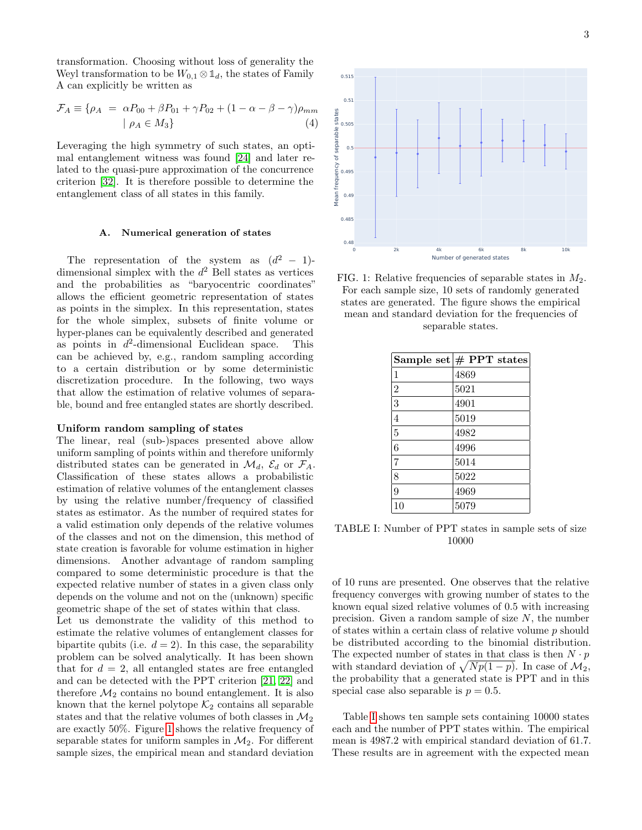transformation. Choosing without loss of generality the Weyl transformation to be  $W_{0,1} \otimes \mathbb{1}_d$ , the states of Family A can explicitly be written as

<span id="page-2-2"></span>
$$
\mathcal{F}_A \equiv \{ \rho_A = \alpha P_{00} + \beta P_{01} + \gamma P_{02} + (1 - \alpha - \beta - \gamma)\rho_{mm} \mid \rho_A \in M_3 \}
$$
\n
$$
(4)
$$

Leveraging the high symmetry of such states, an optimal entanglement witness was found [\[24\]](#page-11-5) and later related to the quasi-pure approximation of the concurrence criterion [\[32\]](#page-11-14). It is therefore possible to determine the entanglement class of all states in this family.

### A. Numerical generation of states

The representation of the system as  $(d^2 - 1)$ dimensional simplex with the  $d^2$  Bell states as vertices and the probabilities as "baryocentric coordinates" allows the efficient geometric representation of states as points in the simplex. In this representation, states for the whole simplex, subsets of finite volume or hyper-planes can be equivalently described and generated as points in  $d^2$ -dimensional Euclidean space. This can be achieved by, e.g., random sampling according to a certain distribution or by some deterministic discretization procedure. In the following, two ways that allow the estimation of relative volumes of separable, bound and free entangled states are shortly described.

# Uniform random sampling of states

The linear, real (sub-)spaces presented above allow uniform sampling of points within and therefore uniformly distributed states can be generated in  $\mathcal{M}_d$ ,  $\mathcal{E}_d$  or  $\mathcal{F}_A$ . Classification of these states allows a probabilistic estimation of relative volumes of the entanglement classes by using the relative number/frequency of classified states as estimator. As the number of required states for a valid estimation only depends of the relative volumes of the classes and not on the dimension, this method of state creation is favorable for volume estimation in higher dimensions. Another advantage of random sampling compared to some deterministic procedure is that the expected relative number of states in a given class only depends on the volume and not on the (unknown) specific geometric shape of the set of states within that class.

Let us demonstrate the validity of this method to estimate the relative volumes of entanglement classes for bipartite qubits (i.e.  $d = 2$ ). In this case, the separability problem can be solved analytically. It has been shown that for  $d = 2$ , all entangled states are free entangled and can be detected with the PPT criterion [\[21,](#page-11-2) [22\]](#page-11-3) and therefore  $\mathcal{M}_2$  contains no bound entanglement. It is also known that the kernel polytope  $\mathcal{K}_2$  contains all separable states and that the relative volumes of both classes in  $\mathcal{M}_2$ are exactly 50%. Figure [1](#page-2-0) shows the relative frequency of separable states for uniform samples in  $\mathcal{M}_2$ . For different sample sizes, the empirical mean and standard deviation

<span id="page-2-0"></span>

FIG. 1: Relative frequencies of separable states in  $M_2$ . For each sample size, 10 sets of randomly generated states are generated. The figure shows the empirical mean and standard deviation for the frequencies of separable states.

<span id="page-2-1"></span>

|                | Sample set $\#$ PPT states |
|----------------|----------------------------|
| $\mathbf{1}$   | 4869                       |
| $\overline{2}$ | 5021                       |
| 3              | 4901                       |
| $\overline{4}$ | 5019                       |
| $\overline{5}$ | 4982                       |
| 6              | 4996                       |
| 7              | 5014                       |
| 8              | 5022                       |
| 9              | 4969                       |
| 10             | 5079                       |

TABLE I: Number of PPT states in sample sets of size 10000

of 10 runs are presented. One observes that the relative frequency converges with growing number of states to the known equal sized relative volumes of 0.5 with increasing precision. Given a random sample of size  $N$ , the number of states within a certain class of relative volume p should be distributed according to the binomial distribution. The expected number of states in that class is then  $N \cdot p$ with standard deviation of  $\sqrt{Np(1-p)}$ . In case of  $\mathcal{M}_2$ , the probability that a generated state is PPT and in this special case also separable is  $p = 0.5$ .

Table [I](#page-2-1) shows ten sample sets containing 10000 states each and the number of PPT states within. The empirical mean is 4987.2 with empirical standard deviation of 61.7. These results are in agreement with the expected mean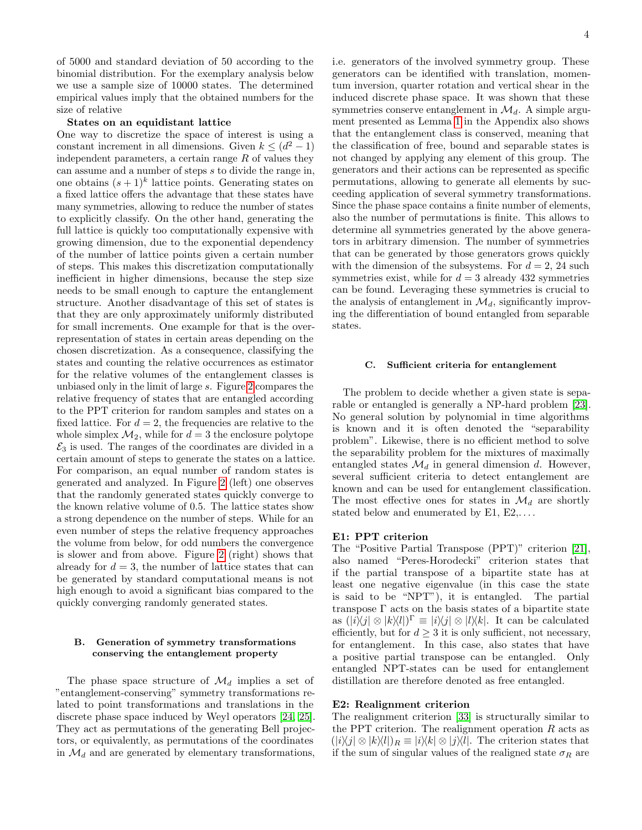of 5000 and standard deviation of 50 according to the binomial distribution. For the exemplary analysis below we use a sample size of 10000 states. The determined empirical values imply that the obtained numbers for the size of relative

## States on an equidistant lattice

One way to discretize the space of interest is using a constant increment in all dimensions. Given  $k \leq (d^2 - 1)$ independent parameters, a certain range  $R$  of values they can assume and a number of steps s to divide the range in, one obtains  $(s+1)^k$  lattice points. Generating states on a fixed lattice offers the advantage that these states have many symmetries, allowing to reduce the number of states to explicitly classify. On the other hand, generating the full lattice is quickly too computationally expensive with growing dimension, due to the exponential dependency of the number of lattice points given a certain number of steps. This makes this discretization computationally inefficient in higher dimensions, because the step size needs to be small enough to capture the entanglement structure. Another disadvantage of this set of states is that they are only approximately uniformly distributed for small increments. One example for that is the overrepresentation of states in certain areas depending on the chosen discretization. As a consequence, classifying the states and counting the relative occurrences as estimator for the relative volumes of the entanglement classes is unbiased only in the limit of large s. Figure [2](#page-4-0) compares the relative frequency of states that are entangled according to the PPT criterion for random samples and states on a fixed lattice. For  $d = 2$ , the frequencies are relative to the whole simplex  $\mathcal{M}_2$ , while for  $d = 3$  the enclosure polytope  $\mathcal{E}_3$  is used. The ranges of the coordinates are divided in a certain amount of steps to generate the states on a lattice. For comparison, an equal number of random states is generated and analyzed. In Figure [2](#page-4-0) (left) one observes that the randomly generated states quickly converge to the known relative volume of 0.5. The lattice states show a strong dependence on the number of steps. While for an even number of steps the relative frequency approaches the volume from below, for odd numbers the convergence is slower and from above. Figure [2](#page-4-0) (right) shows that already for  $d = 3$ , the number of lattice states that can be generated by standard computational means is not high enough to avoid a significant bias compared to the quickly converging randomly generated states.

# B. Generation of symmetry transformations conserving the entanglement property

The phase space structure of  $\mathcal{M}_d$  implies a set of "entanglement-conserving" symmetry transformations related to point transformations and translations in the discrete phase space induced by Weyl operators [\[24,](#page-11-5) [25\]](#page-11-13). They act as permutations of the generating Bell projectors, or equivalently, as permutations of the coordinates in  $\mathcal{M}_d$  and are generated by elementary transformations, i.e. generators of the involved symmetry group. These generators can be identified with translation, momentum inversion, quarter rotation and vertical shear in the induced discrete phase space. It was shown that these symmetries conserve entanglement in  $\mathcal{M}_d$ . A simple argument presented as Lemma [1](#page-12-0) in the Appendix also shows that the entanglement class is conserved, meaning that the classification of free, bound and separable states is not changed by applying any element of this group. The generators and their actions can be represented as specific permutations, allowing to generate all elements by succeeding application of several symmetry transformations. Since the phase space contains a finite number of elements, also the number of permutations is finite. This allows to determine all symmetries generated by the above generators in arbitrary dimension. The number of symmetries that can be generated by those generators grows quickly with the dimension of the subsystems. For  $d = 2$ , 24 such symmetries exist, while for  $d = 3$  already 432 symmetries can be found. Leveraging these symmetries is crucial to the analysis of entanglement in  $\mathcal{M}_d$ , significantly improving the differentiation of bound entangled from separable states.

### C. Sufficient criteria for entanglement

The problem to decide whether a given state is separable or entangled is generally a NP-hard problem [\[23\]](#page-11-4). No general solution by polynomial in time algorithms is known and it is often denoted the "separability problem". Likewise, there is no efficient method to solve the separability problem for the mixtures of maximally entangled states  $\mathcal{M}_d$  in general dimension d. However, several sufficient criteria to detect entanglement are known and can be used for entanglement classification. The most effective ones for states in  $\mathcal{M}_d$  are shortly stated below and enumerated by  $E1, E2, \ldots$ .

## E1: PPT criterion

The "Positive Partial Transpose (PPT)" criterion [\[21\]](#page-11-2), also named "Peres-Horodecki" criterion states that if the partial transpose of a bipartite state has at least one negative eigenvalue (in this case the state is said to be "NPT"), it is entangled. The partial transpose Γ acts on the basis states of a bipartite state as  $(|i\rangle\langle j| \otimes |k\rangle\langle l|)^{\Gamma} \equiv |i\rangle\langle j| \otimes |l\rangle\langle k|$ . It can be calculated efficiently, but for  $d \geq 3$  it is only sufficient, not necessary, for entanglement. In this case, also states that have a positive partial transpose can be entangled. Only entangled NPT-states can be used for entanglement distillation are therefore denoted as free entangled.

## E2: Realignment criterion

The realignment criterion [\[33\]](#page-11-15) is structurally similar to the PPT criterion. The realignment operation  $R$  acts as  $(|i\rangle\langle j| \otimes |k\rangle\langle l|)_R \equiv |i\rangle\langle k| \otimes |j\rangle\langle l|.$  The criterion states that if the sum of singular values of the realigned state  $\sigma_R$  are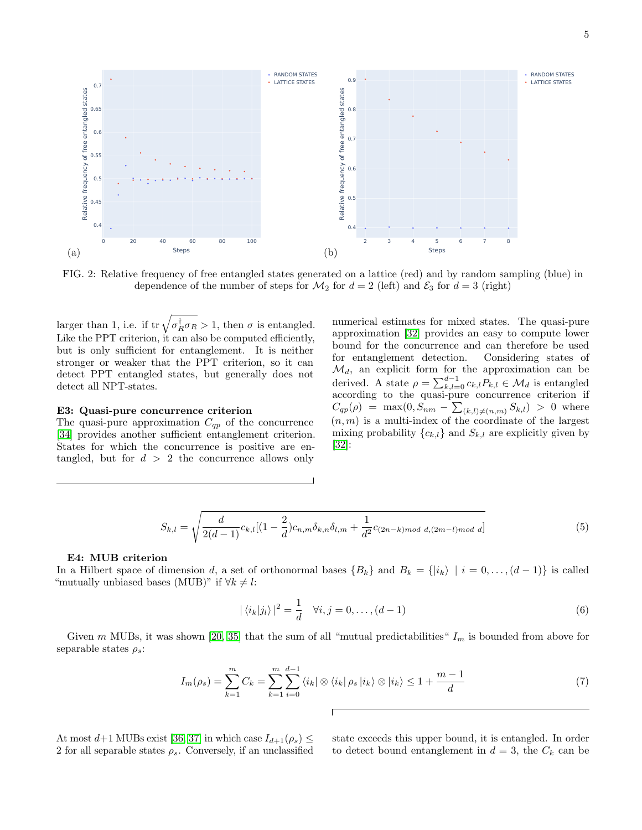<span id="page-4-0"></span>

FIG. 2: Relative frequency of free entangled states generated on a lattice (red) and by random sampling (blue) in dependence of the number of steps for  $\mathcal{M}_2$  for  $d = 2$  (left) and  $\mathcal{E}_3$  for  $d = 3$  (right)

larger than 1, i.e. if  $tr \sqrt{\sigma_R^{\dagger} \sigma_R} > 1$ , then  $\sigma$  is entangled. Like the PPT criterion, it can also be computed efficiently, but is only sufficient for entanglement. It is neither stronger or weaker that the PPT criterion, so it can detect PPT entangled states, but generally does not detect all NPT-states.

### E3: Quasi-pure concurrence criterion

The quasi-pure approximation  $C_{qp}$  of the concurrence [\[34\]](#page-11-16) provides another sufficient entanglement criterion. States for which the concurrence is positive are entangled, but for  $d > 2$  the concurrence allows only

numerical estimates for mixed states. The quasi-pure approximation [\[32\]](#page-11-14) provides an easy to compute lower bound for the concurrence and can therefore be used for entanglement detection. Considering states of  $\mathcal{M}_d$ , an explicit form for the approximation can be derived. A state  $\rho = \sum_{k,l=0}^{d-1} c_{k,l} P_{k,l} \in \mathcal{M}_d$  is entangled according to the quasi-pure concurrence criterion if  $C_{qp}(\rho) = \max(0, S_{nm} - \sum_{(k,l)\neq(n,m)} S_{k,l}) > 0$  where  $(n, m)$  is a multi-index of the coordinate of the largest mixing probability  ${c_{k,l}}$  and  $S_{k,l}$  are explicitly given by [\[32\]](#page-11-14):

$$
S_{k,l} = \sqrt{\frac{d}{2(d-1)}c_{k,l}[(1-\frac{2}{d})c_{n,m}\delta_{k,n}\delta_{l,m} + \frac{1}{d^2}c_{(2n-k)mod d,(2m-l)mod d}]}\tag{5}
$$

### E4: MUB criterion

In a Hilbert space of dimension d, a set of orthonormal bases  $\{B_k\}$  and  $B_k = \{ |i_k \rangle | i = 0, \ldots, (d-1) \}$  is called "mutually unbiased bases (MUB)" if  $\forall k \neq l$ :

$$
|\langle i_k|j_l\rangle|^2 = \frac{1}{d} \quad \forall i, j = 0, \dots, (d-1)
$$
 (6)

Given m MUBs, it was shown [\[20,](#page-11-1) [35\]](#page-11-17) that the sum of all "mutual predictabilities"  $I_m$  is bounded from above for separable states  $\rho_s$ :

ſ

$$
I_m(\rho_s) = \sum_{k=1}^m C_k = \sum_{k=1}^m \sum_{i=0}^{d-1} \langle i_k | \otimes \langle i_k | \rho_s | i_k \rangle \otimes | i_k \rangle \le 1 + \frac{m-1}{d} \tag{7}
$$

At most  $d+1$  MUBs exist [\[36,](#page-11-18) [37\]](#page-11-19) in which case  $I_{d+1}(\rho_s) \leq$ 2 for all separable states  $\rho_s$ . Conversely, if an unclassified state exceeds this upper bound, it is entangled. In order to detect bound entanglement in  $d = 3$ , the  $C_k$  can be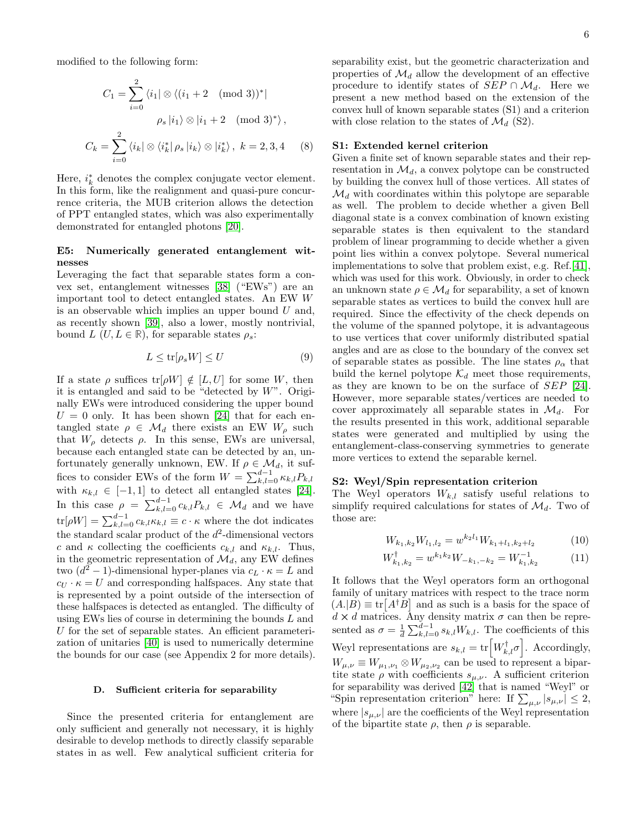modified to the following form:

 $i=0$ 

$$
C_1 = \sum_{i=0}^{2} \langle i_1 | \otimes \langle (i_1 + 2 \pmod{3})^* |
$$

$$
\rho_s | i_1 \rangle \otimes | i_1 + 2 \pmod{3}^* \rangle,
$$

$$
C_k = \sum_{i=1}^{2} \langle i_k | \otimes \langle i_k^* | \rho_s | i_k \rangle \otimes | i_k^* \rangle, \ k = 2, 3, 4 \tag{8}
$$

Here,  $i_k^*$  denotes the complex conjugate vector element. In this form, like the realignment and quasi-pure concurrence criteria, the MUB criterion allows the detection of PPT entangled states, which was also experimentally demonstrated for entangled photons [\[20\]](#page-11-1).

# E5: Numerically generated entanglement witnesses

Leveraging the fact that separable states form a convex set, entanglement witnesses [\[38\]](#page-11-20) ("EWs") are an important tool to detect entangled states. An EW W is an observable which implies an upper bound  $U$  and, as recently shown [\[39\]](#page-11-21), also a lower, mostly nontrivial, bound  $L$  ( $U, L \in \mathbb{R}$ ), for separable states  $\rho_s$ :

$$
L \le \text{tr}[\rho_s W] \le U \tag{9}
$$

If a state  $\rho$  suffices  $tr[\rho W] \notin [L, U]$  for some W, then it is entangled and said to be "detected by  $W$ ". Originally EWs were introduced considering the upper bound  $U = 0$  only. It has been shown [\[24\]](#page-11-5) that for each entangled state  $\rho \in \mathcal{M}_d$  there exists an EW  $W_\rho$  such that  $W_{\rho}$  detects  $\rho$ . In this sense, EWs are universal, because each entangled state can be detected by an, unfortunately generally unknown, EW. If  $\rho \in \mathcal{M}_d$ , it suffices to consider EWs of the form  $W = \sum_{k,l=0}^{d-1} \kappa_{k,l} P_{k,l}$ with  $\kappa_{k,l} \in [-1,1]$  to detect all entangled states [\[24\]](#page-11-5). In this case  $\rho = \sum_{k,l=0}^{d-1} c_{k,l} P_{k,l} \in \mathcal{M}_d$  and we have  $\text{tr}[\rho W] = \sum_{k,l=0}^{d-1} c_{k,l} \kappa_{k,l} \equiv c \cdot \kappa$  where the dot indicates the standard scalar product of the  $d^2$ -dimensional vectors c and  $\kappa$  collecting the coefficients  $c_{k,l}$  and  $\kappa_{k,l}$ . Thus, in the geometric representation of  $\mathcal{M}_d$ , any EW defines two  $(d^2 - 1)$ -dimensional hyper-planes via  $c_L \cdot \kappa = L$  and  $c_U \cdot \kappa = U$  and corresponding halfspaces. Any state that is represented by a point outside of the intersection of these halfspaces is detected as entangled. The difficulty of using EWs lies of course in determining the bounds L and U for the set of separable states. An efficient parameterization of unitaries [\[40\]](#page-11-22) is used to numerically determine the bounds for our case (see Appendix 2 for more details).

## D. Sufficient criteria for separability

Since the presented criteria for entanglement are only sufficient and generally not necessary, it is highly desirable to develop methods to directly classify separable states in as well. Few analytical sufficient criteria for separability exist, but the geometric characterization and properties of  $\mathcal{M}_d$  allow the development of an effective procedure to identify states of  $SEP \cap \mathcal{M}_d$ . Here we present a new method based on the extension of the convex hull of known separable states (S1) and a criterion with close relation to the states of  $\mathcal{M}_d$  (S2).

## S1: Extended kernel criterion

Given a finite set of known separable states and their representation in  $\mathcal{M}_d$ , a convex polytope can be constructed by building the convex hull of those vertices. All states of  $\mathcal{M}_d$  with coordinates within this polytope are separable as well. The problem to decide whether a given Bell diagonal state is a convex combination of known existing separable states is then equivalent to the standard problem of linear programming to decide whether a given point lies within a convex polytope. Several numerical implementations to solve that problem exist, e.g. Ref.[\[41\]](#page-11-23), which was used for this work. Obviously, in order to check an unknown state  $\rho \in \mathcal{M}_d$  for separability, a set of known separable states as vertices to build the convex hull are required. Since the effectivity of the check depends on the volume of the spanned polytope, it is advantageous to use vertices that cover uniformly distributed spatial angles and are as close to the boundary of the convex set of separable states as possible. The line states  $\rho_{\alpha}$  that build the kernel polytope  $\mathcal{K}_d$  meet those requirements, as they are known to be on the surface of SEP [\[24\]](#page-11-5). However, more separable states/vertices are needed to cover approximately all separable states in  $\mathcal{M}_d$ . For the results presented in this work, additional separable states were generated and multiplied by using the entanglement-class-conserving symmetries to generate more vertices to extend the separable kernel.

# S2: Weyl/Spin representation criterion

The Weyl operators  $W_{k,l}$  satisfy useful relations to simplify required calculations for states of  $\mathcal{M}_d$ . Two of those are:

$$
W_{k_1,k_2}W_{l_1,l_2} = w^{k_2 l_1}W_{k_1+l_1,k_2+l_2} \tag{10}
$$

$$
W_{k_1,k_2}^{\dagger} = w^{k_1 k_2} W_{-k_1,-k_2} = W_{k_1,k_2}^{-1} \tag{11}
$$

It follows that the Weyl operators form an orthogonal family of unitary matrices with respect to the trace norm  $(A.|B) \equiv \text{tr}[A^{\dagger}B]$  and as such is a basis for the space of  $d \times d$  matrices. Any density matrix  $\sigma$  can then be represented as  $\sigma = \frac{1}{d} \sum_{k,l=0}^{d-1} s_{k,l} W_{k,l}$ . The coefficients of this Weyl representations are  $s_{k,l} = \text{tr}\left[W_{k,l}^{\dagger}\sigma\right]$ . Accordingly,  $W_{\mu,\nu} \equiv W_{\mu_1,\nu_1} \otimes W_{\mu_2,\nu_2}$  can be used to represent a bipartite state  $\rho$  with coefficients  $s_{\mu,\nu}$ . A sufficient criterion for separability was derived [\[42\]](#page-12-1) that is named "Weyl" or "Spin representation criterion" here: If  $\sum_{\mu,\nu} |s_{\mu,\nu}| \leq 2$ , where  $|s_{\mu,\nu}|$  are the coefficients of the Weyl representation of the bipartite state  $\rho$ , then  $\rho$  is separable.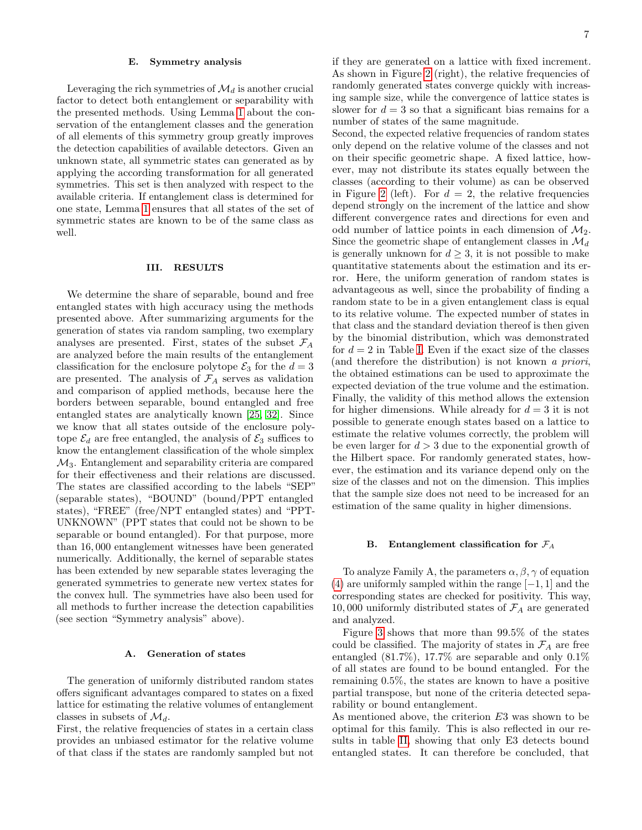### E. Symmetry analysis

Leveraging the rich symmetries of  $\mathcal{M}_d$  is another crucial factor to detect both entanglement or separability with the presented methods. Using Lemma [1](#page-12-0) about the conservation of the entanglement classes and the generation of all elements of this symmetry group greatly improves the detection capabilities of available detectors. Given an unknown state, all symmetric states can generated as by applying the according transformation for all generated symmetries. This set is then analyzed with respect to the available criteria. If entanglement class is determined for one state, Lemma [1](#page-12-0) ensures that all states of the set of symmetric states are known to be of the same class as well.

### III. RESULTS

We determine the share of separable, bound and free entangled states with high accuracy using the methods presented above. After summarizing arguments for the generation of states via random sampling, two exemplary analyses are presented. First, states of the subset  $\mathcal{F}_A$ are analyzed before the main results of the entanglement classification for the enclosure polytope  $\mathcal{E}_3$  for the  $d=3$ are presented. The analysis of  $\mathcal{F}_A$  serves as validation and comparison of applied methods, because here the borders between separable, bound entangled and free entangled states are analytically known [\[25,](#page-11-13) [32\]](#page-11-14). Since we know that all states outside of the enclosure polytope  $\mathcal{E}_d$  are free entangled, the analysis of  $\mathcal{E}_3$  suffices to know the entanglement classification of the whole simplex  $\mathcal{M}_3$ . Entanglement and separability criteria are compared for their effectiveness and their relations are discussed. The states are classified according to the labels "SEP" (separable states), "BOUND" (bound/PPT entangled states), "FREE" (free/NPT entangled states) and "PPT-UNKNOWN" (PPT states that could not be shown to be separable or bound entangled). For that purpose, more than 16, 000 entanglement witnesses have been generated numerically. Additionally, the kernel of separable states has been extended by new separable states leveraging the generated symmetries to generate new vertex states for the convex hull. The symmetries have also been used for all methods to further increase the detection capabilities (see section "Symmetry analysis" above).

### A. Generation of states

The generation of uniformly distributed random states offers significant advantages compared to states on a fixed lattice for estimating the relative volumes of entanglement classes in subsets of  $\mathcal{M}_d$ .

First, the relative frequencies of states in a certain class provides an unbiased estimator for the relative volume of that class if the states are randomly sampled but not if they are generated on a lattice with fixed increment. As shown in Figure [2](#page-4-0) (right), the relative frequencies of randomly generated states converge quickly with increasing sample size, while the convergence of lattice states is slower for  $d = 3$  so that a significant bias remains for a number of states of the same magnitude.

Second, the expected relative frequencies of random states only depend on the relative volume of the classes and not on their specific geometric shape. A fixed lattice, however, may not distribute its states equally between the classes (according to their volume) as can be observed in Figure [2](#page-4-0) (left). For  $d = 2$ , the relative frequencies depend strongly on the increment of the lattice and show different convergence rates and directions for even and odd number of lattice points in each dimension of  $\mathcal{M}_2$ . Since the geometric shape of entanglement classes in  $\mathcal{M}_d$ is generally unknown for  $d \geq 3$ , it is not possible to make quantitative statements about the estimation and its error. Here, the uniform generation of random states is advantageous as well, since the probability of finding a random state to be in a given entanglement class is equal to its relative volume. The expected number of states in that class and the standard deviation thereof is then given by the binomial distribution, which was demonstrated for  $d = 2$  in Table [I.](#page-2-1) Even if the exact size of the classes (and therefore the distribution) is not known a priori, the obtained estimations can be used to approximate the expected deviation of the true volume and the estimation. Finally, the validity of this method allows the extension for higher dimensions. While already for  $d = 3$  it is not possible to generate enough states based on a lattice to estimate the relative volumes correctly, the problem will be even larger for  $d > 3$  due to the exponential growth of the Hilbert space. For randomly generated states, however, the estimation and its variance depend only on the size of the classes and not on the dimension. This implies that the sample size does not need to be increased for an estimation of the same quality in higher dimensions.

### B. Entanglement classification for  $\mathcal{F}_A$

To analyze Family A, the parameters  $\alpha, \beta, \gamma$  of equation [\(4\)](#page-2-2) are uniformly sampled within the range  $[-1, 1]$  and the corresponding states are checked for positivity. This way, 10,000 uniformly distributed states of  $\mathcal{F}_A$  are generated and analyzed.

Figure [3](#page-7-0) shows that more than 99.5% of the states could be classified. The majority of states in  $\mathcal{F}_A$  are free entangled (81.7%), 17.7% are separable and only 0.1% of all states are found to be bound entangled. For the remaining 0.5%, the states are known to have a positive partial transpose, but none of the criteria detected separability or bound entanglement.

As mentioned above, the criterion  $E3$  was shown to be optimal for this family. This is also reflected in our results in table [II,](#page-8-0) showing that only E3 detects bound entangled states. It can therefore be concluded, that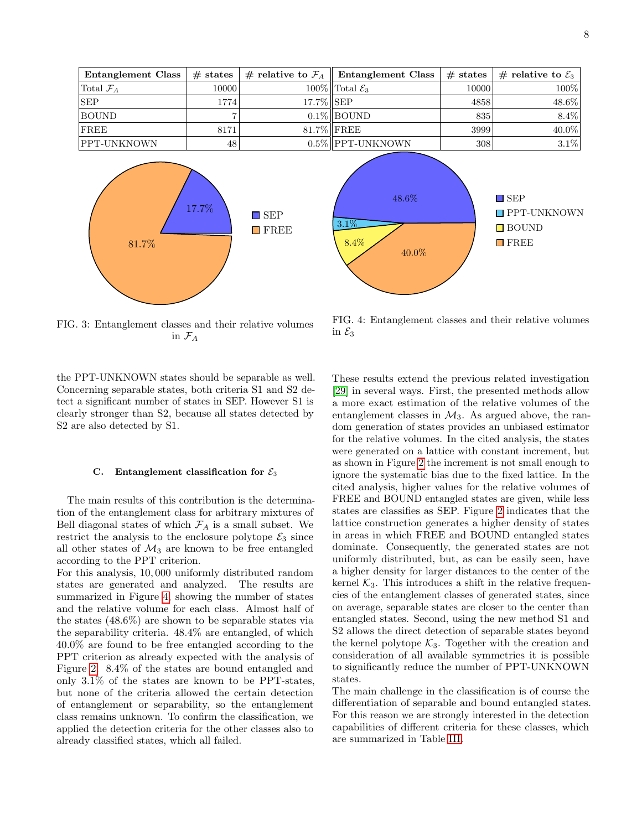<span id="page-7-0"></span>

| Entanglement Class    | $\#$ states |           | # relative to $\mathcal{F}_A \parallel$ Entanglement Class | $#$ states | $\parallel \text{\# relative to } \mathcal{E}_3 \parallel$ |
|-----------------------|-------------|-----------|------------------------------------------------------------|------------|------------------------------------------------------------|
| Total $\mathcal{F}_A$ | 10000       |           | $100\%$ Total $\mathcal{E}_3$                              | 10000      | $100\%$                                                    |
| <b>SEP</b>            | 1774        | 17.7% SEP |                                                            | 4858       | 48.6%                                                      |
| <b>BOUND</b>          |             |           | $0.1\%$ BOUND                                              | 835        | 8.4%                                                       |
| FREE                  | 8171        |           | $81.7\%$ FREE                                              | 3999       | 40.0%                                                      |
| PPT-UNKNOWN           | 48          |           | $0.5\%$ PPT-UNKNOWN                                        | 308        | $3.1\%$                                                    |



<span id="page-7-1"></span>

FIG. 3: Entanglement classes and their relative volumes in  $\mathcal{F}_A$ 

the PPT-UNKNOWN states should be separable as well. Concerning separable states, both criteria S1 and S2 detect a significant number of states in SEP. However S1 is clearly stronger than S2, because all states detected by S2 are also detected by S1.

## C. Entanglement classification for  $\mathcal{E}_3$

The main results of this contribution is the determination of the entanglement class for arbitrary mixtures of Bell diagonal states of which  $\mathcal{F}_A$  is a small subset. We restrict the analysis to the enclosure polytope  $\mathcal{E}_3$  since all other states of  $\mathcal{M}_3$  are known to be free entangled according to the PPT criterion.

For this analysis, 10, 000 uniformly distributed random states are generated and analyzed. The results are summarized in Figure [4,](#page-7-1) showing the number of states and the relative volume for each class. Almost half of the states (48.6%) are shown to be separable states via the separability criteria. 48.4% are entangled, of which 40.0% are found to be free entangled according to the PPT criterion as already expected with the analysis of Figure [2.](#page-4-0) 8.4% of the states are bound entangled and only 3.1% of the states are known to be PPT-states, but none of the criteria allowed the certain detection of entanglement or separability, so the entanglement class remains unknown. To confirm the classification, we applied the detection criteria for the other classes also to already classified states, which all failed.

FIG. 4: Entanglement classes and their relative volumes in  $\mathcal{E}_3$ 

These results extend the previous related investigation [\[29\]](#page-11-10) in several ways. First, the presented methods allow a more exact estimation of the relative volumes of the entanglement classes in  $\mathcal{M}_3$ . As argued above, the random generation of states provides an unbiased estimator for the relative volumes. In the cited analysis, the states were generated on a lattice with constant increment, but as shown in Figure [2](#page-4-0) the increment is not small enough to ignore the systematic bias due to the fixed lattice. In the cited analysis, higher values for the relative volumes of FREE and BOUND entangled states are given, while less states are classifies as SEP. Figure [2](#page-4-0) indicates that the lattice construction generates a higher density of states in areas in which FREE and BOUND entangled states dominate. Consequently, the generated states are not uniformly distributed, but, as can be easily seen, have a higher density for larger distances to the center of the kernel  $K_3$ . This introduces a shift in the relative frequencies of the entanglement classes of generated states, since on average, separable states are closer to the center than entangled states. Second, using the new method S1 and S2 allows the direct detection of separable states beyond the kernel polytope  $K_3$ . Together with the creation and consideration of all available symmetries it is possible to significantly reduce the number of PPT-UNKNOWN states.

The main challenge in the classification is of course the differentiation of separable and bound entangled states. For this reason we are strongly interested in the detection capabilities of different criteria for these classes, which are summarized in Table [III.](#page-8-1)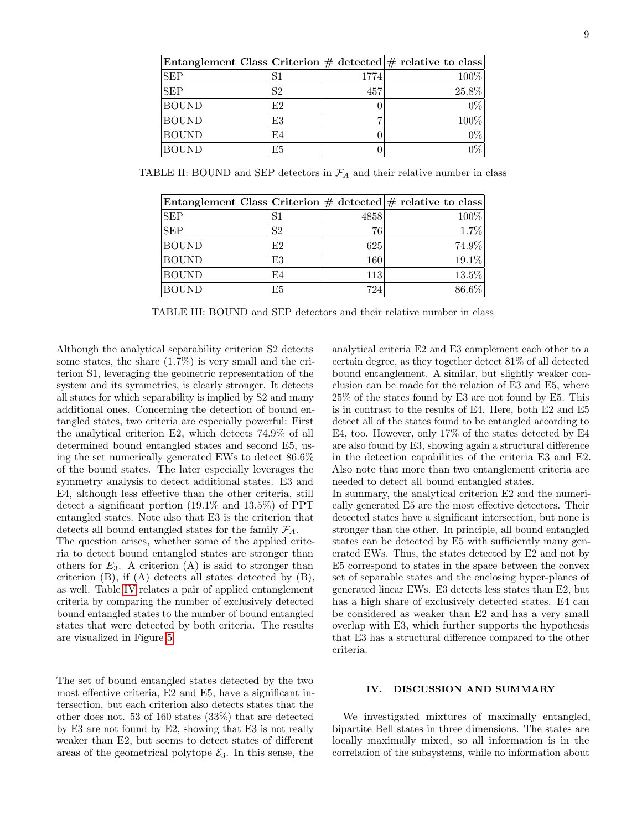<span id="page-8-0"></span>

| Entanglement Class Criterion $\#$ detected $\#$ relative to class |    |      |       |
|-------------------------------------------------------------------|----|------|-------|
| <b>SEP</b>                                                        | S1 | 1774 | 100%  |
| <b>SEP</b>                                                        | S2 | 457  | 25.8% |
| <b>BOUND</b>                                                      | E2 |      | $0\%$ |
| <b>BOUND</b>                                                      | E3 |      | 100%  |
| <b>BOUND</b>                                                      | E4 |      | $0\%$ |
| <b>BOUND</b>                                                      | E5 |      | 0%    |

<span id="page-8-1"></span>TABLE II: BOUND and SEP detectors in  $\mathcal{F}_A$  and their relative number in class

| Entanglement Class Criterion $\#$ detected $\#$ relative to class |                |      |          |
|-------------------------------------------------------------------|----------------|------|----------|
| <b>SEP</b>                                                        | S1             | 4858 | 100%     |
| <b>SEP</b>                                                        | S <sub>2</sub> | 76   | 1.7%     |
| <b>BOUND</b>                                                      | E2             | 625  | 74.9%    |
| <b>BOUND</b>                                                      | E3             | 160  | 19.1%    |
| <b>BOUND</b>                                                      | E4             | 113  | $13.5\%$ |
| <b>BOUND</b>                                                      | E <sub>5</sub> | 724  | 86.6%    |

TABLE III: BOUND and SEP detectors and their relative number in class

Although the analytical separability criterion S2 detects some states, the share  $(1.7\%)$  is very small and the criterion S1, leveraging the geometric representation of the system and its symmetries, is clearly stronger. It detects all states for which separability is implied by S2 and many additional ones. Concerning the detection of bound entangled states, two criteria are especially powerful: First the analytical criterion E2, which detects 74.9% of all determined bound entangled states and second E5, using the set numerically generated EWs to detect 86.6% of the bound states. The later especially leverages the symmetry analysis to detect additional states. E3 and E4, although less effective than the other criteria, still detect a significant portion (19.1% and 13.5%) of PPT entangled states. Note also that E3 is the criterion that detects all bound entangled states for the family  $\mathcal{F}_A$ .

The question arises, whether some of the applied criteria to detect bound entangled states are stronger than others for  $E_3$ . A criterion (A) is said to stronger than criterion  $(B)$ , if  $(A)$  detects all states detected by  $(B)$ , as well. Table [IV](#page-9-0) relates a pair of applied entanglement criteria by comparing the number of exclusively detected bound entangled states to the number of bound entangled states that were detected by both criteria. The results are visualized in Figure [5.](#page-9-1)

The set of bound entangled states detected by the two most effective criteria, E2 and E5, have a significant intersection, but each criterion also detects states that the other does not. 53 of 160 states (33%) that are detected by E3 are not found by E2, showing that E3 is not really weaker than E2, but seems to detect states of different areas of the geometrical polytope  $\mathcal{E}_3$ . In this sense, the

analytical criteria E2 and E3 complement each other to a certain degree, as they together detect 81% of all detected bound entanglement. A similar, but slightly weaker conclusion can be made for the relation of E3 and E5, where 25% of the states found by E3 are not found by E5. This is in contrast to the results of E4. Here, both E2 and E5 detect all of the states found to be entangled according to E4, too. However, only 17% of the states detected by E4 are also found by E3, showing again a structural difference in the detection capabilities of the criteria E3 and E2. Also note that more than two entanglement criteria are needed to detect all bound entangled states.

In summary, the analytical criterion E2 and the numerically generated E5 are the most effective detectors. Their detected states have a significant intersection, but none is stronger than the other. In principle, all bound entangled states can be detected by E5 with sufficiently many generated EWs. Thus, the states detected by E2 and not by E5 correspond to states in the space between the convex set of separable states and the enclosing hyper-planes of generated linear EWs. E3 detects less states than E2, but has a high share of exclusively detected states. E4 can be considered as weaker than E2 and has a very small overlap with E3, which further supports the hypothesis that E3 has a structural difference compared to the other criteria.

# IV. DISCUSSION AND SUMMARY

We investigated mixtures of maximally entangled, bipartite Bell states in three dimensions. The states are locally maximally mixed, so all information is in the correlation of the subsystems, while no information about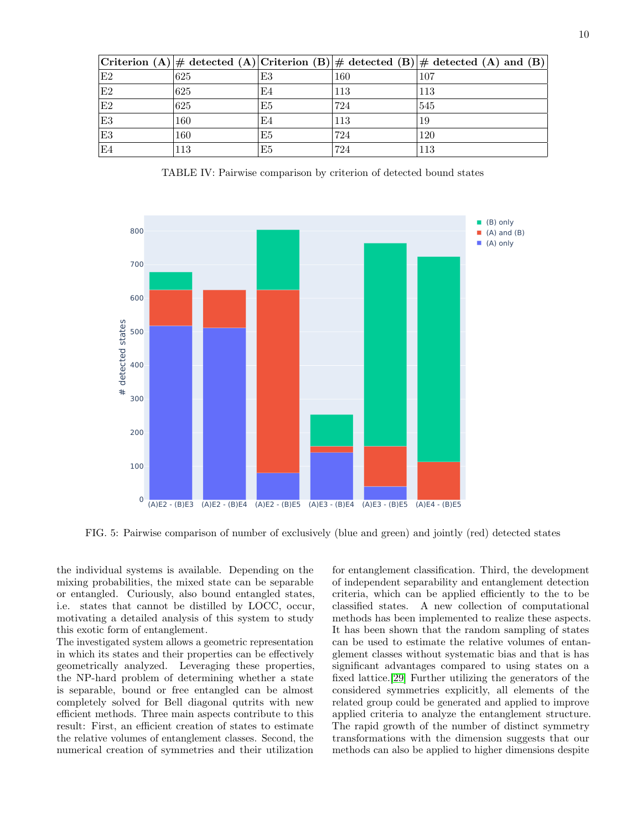<span id="page-9-0"></span>

|    |     |    |     | Criterion (A) $\#$ detected (A) Criterion (B) $\#$ detected (B) $\#$ detected (A) and (B) |
|----|-----|----|-----|-------------------------------------------------------------------------------------------|
| E2 | 625 | E3 | 160 | 107                                                                                       |
| E2 | 625 | E4 | 113 | 113                                                                                       |
| E2 | 625 | E5 | 724 | 545                                                                                       |
| E3 | 160 | E4 | 113 | 19                                                                                        |
| E3 | 160 | E5 | 724 | 120                                                                                       |
| E4 | 113 | E5 | 724 | 113                                                                                       |

TABLE IV: Pairwise comparison by criterion of detected bound states

<span id="page-9-1"></span>

FIG. 5: Pairwise comparison of number of exclusively (blue and green) and jointly (red) detected states

the individual systems is available. Depending on the mixing probabilities, the mixed state can be separable or entangled. Curiously, also bound entangled states, i.e. states that cannot be distilled by LOCC, occur, motivating a detailed analysis of this system to study this exotic form of entanglement.

The investigated system allows a geometric representation in which its states and their properties can be effectively geometrically analyzed. Leveraging these properties, the NP-hard problem of determining whether a state is separable, bound or free entangled can be almost completely solved for Bell diagonal qutrits with new efficient methods. Three main aspects contribute to this result: First, an efficient creation of states to estimate the relative volumes of entanglement classes. Second, the numerical creation of symmetries and their utilization

for entanglement classification. Third, the development of independent separability and entanglement detection criteria, which can be applied efficiently to the to be classified states. A new collection of computational methods has been implemented to realize these aspects. It has been shown that the random sampling of states can be used to estimate the relative volumes of entanglement classes without systematic bias and that is has significant advantages compared to using states on a fixed lattice.[\[29\]](#page-11-10) Further utilizing the generators of the considered symmetries explicitly, all elements of the related group could be generated and applied to improve applied criteria to analyze the entanglement structure. The rapid growth of the number of distinct symmetry transformations with the dimension suggests that our methods can also be applied to higher dimensions despite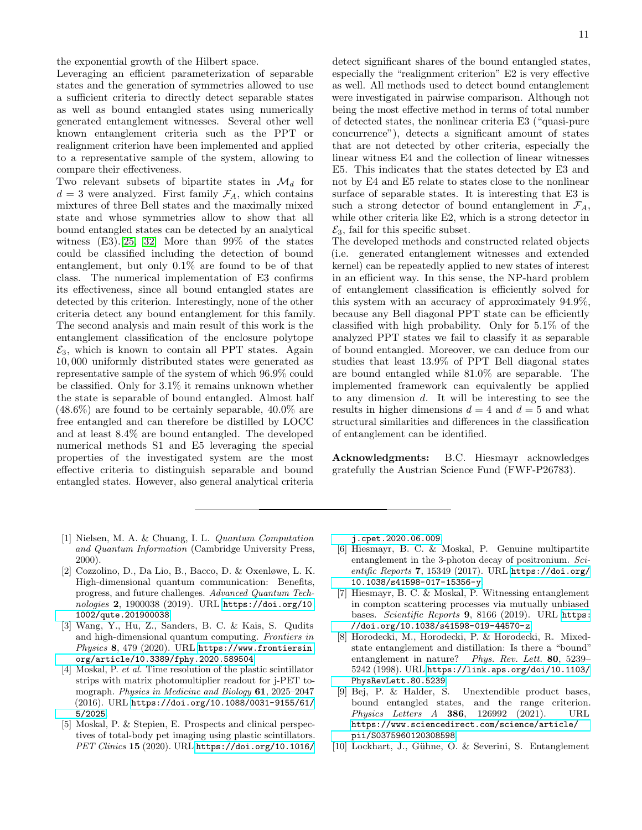the exponential growth of the Hilbert space.

Leveraging an efficient parameterization of separable states and the generation of symmetries allowed to use a sufficient criteria to directly detect separable states as well as bound entangled states using numerically generated entanglement witnesses. Several other well known entanglement criteria such as the PPT or realignment criterion have been implemented and applied to a representative sample of the system, allowing to compare their effectiveness.

Two relevant subsets of bipartite states in  $\mathcal{M}_d$  for  $d = 3$  were analyzed. First family  $\mathcal{F}_A$ , which contains mixtures of three Bell states and the maximally mixed state and whose symmetries allow to show that all bound entangled states can be detected by an analytical witness  $(E3)$ .[\[25,](#page-11-13) [32\]](#page-11-14) More than 99% of the states could be classified including the detection of bound entanglement, but only 0.1% are found to be of that class. The numerical implementation of E3 confirms its effectiveness, since all bound entangled states are detected by this criterion. Interestingly, none of the other criteria detect any bound entanglement for this family. The second analysis and main result of this work is the entanglement classification of the enclosure polytope  $\mathcal{E}_3$ , which is known to contain all PPT states. Again 10, 000 uniformly distributed states were generated as representative sample of the system of which 96.9% could be classified. Only for 3.1% it remains unknown whether the state is separable of bound entangled. Almost half  $(48.6\%)$  are found to be certainly separable,  $40.0\%$  are free entangled and can therefore be distilled by LOCC and at least 8.4% are bound entangled. The developed numerical methods S1 and E5 leveraging the special properties of the investigated system are the most effective criteria to distinguish separable and bound entangled states. However, also general analytical criteria

detect significant shares of the bound entangled states, especially the "realignment criterion" E2 is very effective as well. All methods used to detect bound entanglement were investigated in pairwise comparison. Although not being the most effective method in terms of total number of detected states, the nonlinear criteria E3 ("quasi-pure concurrence"), detects a significant amount of states that are not detected by other criteria, especially the linear witness E4 and the collection of linear witnesses E5. This indicates that the states detected by E3 and not by E4 and E5 relate to states close to the nonlinear surface of separable states. It is interesting that E3 is such a strong detector of bound entanglement in  $\mathcal{F}_A$ , while other criteria like E2, which is a strong detector in  $\mathcal{E}_3$ , fail for this specific subset.

The developed methods and constructed related objects (i.e. generated entanglement witnesses and extended kernel) can be repeatedly applied to new states of interest in an efficient way. In this sense, the NP-hard problem of entanglement classification is efficiently solved for this system with an accuracy of approximately 94.9%, because any Bell diagonal PPT state can be efficiently classified with high probability. Only for 5.1% of the analyzed PPT states we fail to classify it as separable of bound entangled. Moreover, we can deduce from our studies that least 13.9% of PPT Bell diagonal states are bound entangled while 81.0% are separable. The implemented framework can equivalently be applied to any dimension  $d$ . It will be interesting to see the results in higher dimensions  $d = 4$  and  $d = 5$  and what structural similarities and differences in the classification of entanglement can be identified.

Acknowledgments: B.C. Hiesmayr acknowledges gratefully the Austrian Science Fund (FWF-P26783).

- <span id="page-10-0"></span>[1] Nielsen, M. A. & Chuang, I. L. Quantum Computation and Quantum Information (Cambridge University Press, 2000).
- <span id="page-10-1"></span>[2] Cozzolino, D., Da Lio, B., Bacco, D. & Oxenløwe, L. K. High-dimensional quantum communication: Benefits, progress, and future challenges. Advanced Quantum Technologies 2, 1900038 (2019). URL [https://doi.org/10.](https://doi.org/10.1002/qute.201900038) [1002/qute.201900038](https://doi.org/10.1002/qute.201900038).
- <span id="page-10-2"></span>[3] Wang, Y., Hu, Z., Sanders, B. C. & Kais, S. Qudits and high-dimensional quantum computing. Frontiers in Physics 8, 479 (2020). URL [https://www.frontiersin.](https://www.frontiersin.org/article/10.3389/fphy.2020.589504) [org/article/10.3389/fphy.2020.589504](https://www.frontiersin.org/article/10.3389/fphy.2020.589504).
- <span id="page-10-3"></span>[4] Moskal, P. et al. Time resolution of the plastic scintillator strips with matrix photomultiplier readout for j-PET tomograph. Physics in Medicine and Biology 61, 2025–2047 (2016). URL [https://doi.org/10.1088/0031-9155/61/](https://doi.org/10.1088/0031-9155/61/5/2025) [5/2025](https://doi.org/10.1088/0031-9155/61/5/2025).
- [5] Moskal, P. & Stepien, E. Prospects and clinical perspectives of total-body pet imaging using plastic scintillators. PET Clinics 15 (2020). URL [https://doi.org/10.1016/](https://doi.org/10.1016/j.cpet.2020.06.009)

[j.cpet.2020.06.009](https://doi.org/10.1016/j.cpet.2020.06.009).

- [6] Hiesmayr, B. C. & Moskal, P. Genuine multipartite entanglement in the 3-photon decay of positronium. Scientific Reports 7, 15349 (2017). URL [https://doi.org/](https://doi.org/10.1038/s41598-017-15356-y) [10.1038/s41598-017-15356-y](https://doi.org/10.1038/s41598-017-15356-y).
- <span id="page-10-4"></span>[7] Hiesmayr, B. C. & Moskal, P. Witnessing entanglement in compton scattering processes via mutually unbiased bases. Scientific Reports 9, 8166 (2019). URL [https:](https://doi.org/10.1038/s41598-019-44570-z) [//doi.org/10.1038/s41598-019-44570-z](https://doi.org/10.1038/s41598-019-44570-z).
- <span id="page-10-5"></span>[8] Horodecki, M., Horodecki, P. & Horodecki, R. Mixedstate entanglement and distillation: Is there a "bound" entanglement in nature? Phys. Rev. Lett. 80, 5239– 5242 (1998). URL [https://link.aps.org/doi/10.1103/](https://link.aps.org/doi/10.1103/PhysRevLett.80.5239) [PhysRevLett.80.5239](https://link.aps.org/doi/10.1103/PhysRevLett.80.5239).<br>[9] Bej, P. & Halder, S.
- <span id="page-10-6"></span>Unextendible product bases, bound entangled states, and the range criterion. Physics Letters A 386, 126992 (2021). URL [https://www.sciencedirect.com/science/article/](https://www.sciencedirect.com/science/article/pii/S0375960120308598) [pii/S0375960120308598](https://www.sciencedirect.com/science/article/pii/S0375960120308598).
- [10] Lockhart, J., Gühne, O. & Severini, S. Entanglement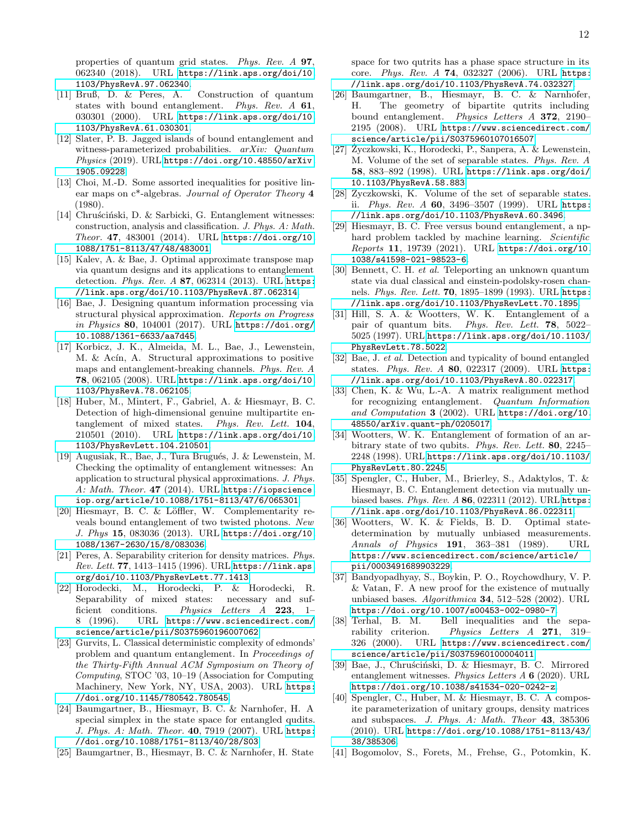properties of quantum grid states. Phys. Rev. A 97, 062340 (2018). URL [https://link.aps.org/doi/10.](https://link.aps.org/doi/10.1103/PhysRevA.97.062340) [1103/PhysRevA.97.062340](https://link.aps.org/doi/10.1103/PhysRevA.97.062340).

- [11] Bruß, D. & Peres, A. Construction of quantum states with bound entanglement. Phys. Rev. A 61, 030301 (2000). URL [https://link.aps.org/doi/10.](https://link.aps.org/doi/10.1103/PhysRevA.61.030301) [1103/PhysRevA.61.030301](https://link.aps.org/doi/10.1103/PhysRevA.61.030301).
- [12] Slater, P. B. Jagged islands of bound entanglement and witness-parameterized probabilities. arXiv: Quantum Physics (2019). URL [https://doi.org/10.48550/arXiv.](https://doi.org/10.48550/arXiv.1905.09228) [1905.09228](https://doi.org/10.48550/arXiv.1905.09228).
- <span id="page-11-7"></span>[13] Choi, M.-D. Some assorted inequalities for positive linear maps on c\*-algebras. Journal of Operator Theory 4 (1980).
- [14] Chruścinski, D. & Sarbicki, G. Entanglement witnesses: construction, analysis and classification. J. Phys. A: Math. Theor. 47, 483001 (2014). URL [https://doi.org/10.](https://doi.org/10.1088/1751-8113/47/48/483001) [1088/1751-8113/47/48/483001](https://doi.org/10.1088/1751-8113/47/48/483001).
- [15] Kalev, A. & Bae, J. Optimal approximate transpose map via quantum designs and its applications to entanglement detection. Phys. Rev. A 87, 062314 (2013). URL [https:](https://link.aps.org/doi/10.1103/PhysRevA.87.062314) [//link.aps.org/doi/10.1103/PhysRevA.87.062314](https://link.aps.org/doi/10.1103/PhysRevA.87.062314).
- [16] Bae, J. Designing quantum information processing via structural physical approximation. Reports on Progress in Physics 80, 104001 (2017). URL [https://doi.org/](https://doi.org/10.1088/1361-6633/aa7d45) [10.1088/1361-6633/aa7d45](https://doi.org/10.1088/1361-6633/aa7d45).
- [17] Korbicz, J. K., Almeida, M. L., Bae, J., Lewenstein, M. & Acín, A. Structural approximations to positive maps and entanglement-breaking channels. Phys. Rev. A 78, 062105 (2008). URL [https://link.aps.org/doi/10.](https://link.aps.org/doi/10.1103/PhysRevA.78.062105) [1103/PhysRevA.78.062105](https://link.aps.org/doi/10.1103/PhysRevA.78.062105).
- [18] Huber, M., Mintert, F., Gabriel, A. & Hiesmayr, B. C. Detection of high-dimensional genuine multipartite entanglement of mixed states. Phys. Rev. Lett. 104, 210501 (2010). URL [https://link.aps.org/doi/10.](https://link.aps.org/doi/10.1103/PhysRevLett.104.210501) [1103/PhysRevLett.104.210501](https://link.aps.org/doi/10.1103/PhysRevLett.104.210501).
- <span id="page-11-0"></span>[19] Augusiak, R., Bae, J., Tura Brugués, J. & Lewenstein, M. Checking the optimality of entanglement witnesses: An application to structural physical approximations. J. Phys. A: Math. Theor. 47 (2014). URL [https://iopscience.](https://iopscience.iop.org/article/10.1088/1751-8113/47/6/065301) [iop.org/article/10.1088/1751-8113/47/6/065301](https://iopscience.iop.org/article/10.1088/1751-8113/47/6/065301).
- <span id="page-11-1"></span>[20] Hiesmayr, B. C. & Löffler, W. Complementarity reveals bound entanglement of two twisted photons. New J. Phys 15, 083036 (2013). URL [https://doi.org/10.](https://doi.org/10.1088/1367-2630/15/8/083036) [1088/1367-2630/15/8/083036](https://doi.org/10.1088/1367-2630/15/8/083036).
- <span id="page-11-2"></span>[21] Peres, A. Separability criterion for density matrices. Phys. Rev. Lett. 77, 1413–1415 (1996). URL [https://link.aps.](https://link.aps.org/doi/10.1103/PhysRevLett.77.1413) [org/doi/10.1103/PhysRevLett.77.1413](https://link.aps.org/doi/10.1103/PhysRevLett.77.1413).
- <span id="page-11-3"></span>[22] Horodecki, M., Horodecki, P. & Horodecki, R. Separability of mixed states: necessary and sufficient conditions. Physics Letters A 223, 1– 8 (1996). URL [https://www.sciencedirect.com/](https://www.sciencedirect.com/science/article/pii/S0375960196007062) [science/article/pii/S0375960196007062](https://www.sciencedirect.com/science/article/pii/S0375960196007062).
- <span id="page-11-4"></span>[23] Gurvits, L. Classical deterministic complexity of edmonds' problem and quantum entanglement. In Proceedings of the Thirty-Fifth Annual ACM Symposium on Theory of Computing, STOC '03, 10–19 (Association for Computing Machinery, New York, NY, USA, 2003). URL [https:](https://doi.org/10.1145/780542.780545) [//doi.org/10.1145/780542.780545](https://doi.org/10.1145/780542.780545).
- <span id="page-11-5"></span>[24] Baumgartner, B., Hiesmayr, B. C. & Narnhofer, H. A special simplex in the state space for entangled qudits. J. Phys. A: Math. Theor. 40, 7919 (2007). URL [https:](https://doi.org/10.1088/1751-8113/40/28/S03) [//doi.org/10.1088/1751-8113/40/28/S03](https://doi.org/10.1088/1751-8113/40/28/S03).
- <span id="page-11-13"></span>[25] Baumgartner, B., Hiesmayr, B. C. & Narnhofer, H. State

space for two qutrits has a phase space structure in its core. Phys. Rev. A 74, 032327 (2006). URL [https:](https://link.aps.org/doi/10.1103/PhysRevA.74.032327) [//link.aps.org/doi/10.1103/PhysRevA.74.032327](https://link.aps.org/doi/10.1103/PhysRevA.74.032327).

- <span id="page-11-6"></span>[26] Baumgartner, B., Hiesmayr, B. C. & Narnhofer, H. The geometry of bipartite qutrits including bound entanglement. Physics Letters A 372, 2190– 2195 (2008). URL [https://www.sciencedirect.com/](https://www.sciencedirect.com/science/article/pii/S0375960107016507) [science/article/pii/S0375960107016507](https://www.sciencedirect.com/science/article/pii/S0375960107016507).
- <span id="page-11-8"></span> $[27]$  Życzkowski, K., Horodecki, P., Sanpera, A. & Lewenstein, M. Volume of the set of separable states. Phys. Rev. A 58, 883–892 (1998). URL [https://link.aps.org/doi/](https://link.aps.org/doi/10.1103/PhysRevA.58.883) [10.1103/PhysRevA.58.883](https://link.aps.org/doi/10.1103/PhysRevA.58.883).
- <span id="page-11-9"></span>[28] Zyczkowski, K. Volume of the set of separable states. ii. Phys. Rev. A 60, 3496–3507 (1999). URL [https:](https://link.aps.org/doi/10.1103/PhysRevA.60.3496) [//link.aps.org/doi/10.1103/PhysRevA.60.3496](https://link.aps.org/doi/10.1103/PhysRevA.60.3496).
- <span id="page-11-10"></span>[29] Hiesmayr, B. C. Free versus bound entanglement, a nphard problem tackled by machine learning. Scientific Reports 11, 19739 (2021). URL [https://doi.org/10.](https://doi.org/10.1038/s41598-021-98523-6) [1038/s41598-021-98523-6](https://doi.org/10.1038/s41598-021-98523-6).
- <span id="page-11-11"></span>[30] Bennett, C. H. et al. Teleporting an unknown quantum state via dual classical and einstein-podolsky-rosen channels. Phys. Rev. Lett. 70, 1895–1899 (1993). URL [https:](https://link.aps.org/doi/10.1103/PhysRevLett.70.1895) [//link.aps.org/doi/10.1103/PhysRevLett.70.1895](https://link.aps.org/doi/10.1103/PhysRevLett.70.1895).
- <span id="page-11-12"></span>[31] Hill, S. A. & Wootters, W. K. Entanglement of a pair of quantum bits. Phys. Rev. Lett. 78, 5022– 5025 (1997). URL [https://link.aps.org/doi/10.1103/](https://link.aps.org/doi/10.1103/PhysRevLett.78.5022) [PhysRevLett.78.5022](https://link.aps.org/doi/10.1103/PhysRevLett.78.5022).
- <span id="page-11-14"></span>[32] Bae, J. et al. Detection and typicality of bound entangled states. Phys. Rev. A 80, 022317 (2009). URL [https:](https://link.aps.org/doi/10.1103/PhysRevA.80.022317) [//link.aps.org/doi/10.1103/PhysRevA.80.022317](https://link.aps.org/doi/10.1103/PhysRevA.80.022317).
- <span id="page-11-15"></span>[33] Chen, K. & Wu, L.-A. A matrix realignment method for recognizing entanglement. Quantum Information and Computation 3 (2002). URL [https://doi.org/10.](https://doi.org/10.48550/arXiv.quant-ph/0205017) [48550/arXiv.quant-ph/0205017](https://doi.org/10.48550/arXiv.quant-ph/0205017).
- <span id="page-11-16"></span>[34] Wootters, W. K. Entanglement of formation of an arbitrary state of two qubits. Phys. Rev. Lett. 80, 2245– 2248 (1998). URL [https://link.aps.org/doi/10.1103/](https://link.aps.org/doi/10.1103/PhysRevLett.80.2245) [PhysRevLett.80.2245](https://link.aps.org/doi/10.1103/PhysRevLett.80.2245).
- <span id="page-11-17"></span>[35] Spengler, C., Huber, M., Brierley, S., Adaktylos, T. & Hiesmayr, B. C. Entanglement detection via mutually unbiased bases. Phys. Rev. A 86, 022311 (2012). URL [https:](https://link.aps.org/doi/10.1103/PhysRevA.86.022311) [//link.aps.org/doi/10.1103/PhysRevA.86.022311](https://link.aps.org/doi/10.1103/PhysRevA.86.022311).
- <span id="page-11-18"></span>[36] Wootters, W. K. & Fields, B. D. Optimal statedetermination by mutually unbiased measurements. Annals of Physics 191, 363–381 (1989). URL [https://www.sciencedirect.com/science/article/](https://www.sciencedirect.com/science/article/pii/0003491689903229) [pii/0003491689903229](https://www.sciencedirect.com/science/article/pii/0003491689903229).
- <span id="page-11-19"></span>[37] Bandyopadhyay, S., Boykin, P. O., Roychowdhury, V. P. & Vatan, F. A new proof for the existence of mutually unbiased bases. Algorithmica 34, 512–528 (2002). URL <https://doi.org/10.1007/s00453-002-0980-7>.<br>[38] Terhal, B. M. Bell inequalities and the
- <span id="page-11-20"></span>Bell inequalities and the separability criterion. Physics Letters A 271, 319– 326 (2000). URL [https://www.sciencedirect.com/](https://www.sciencedirect.com/science/article/pii/S0375960100004011) [science/article/pii/S0375960100004011](https://www.sciencedirect.com/science/article/pii/S0375960100004011).
- <span id="page-11-21"></span>[39] Bae, J., Chruściński, D. & Hiesmayr, B. C. Mirrored entanglement witnesses. Physics Letters A 6 (2020). URL <https://doi.org/10.1038/s41534-020-0242-z>.
- <span id="page-11-22"></span>[40] Spengler, C., Huber, M. & Hiesmayr, B. C. A composite parameterization of unitary groups, density matrices and subspaces. J. Phys. A: Math. Theor 43, 385306 (2010). URL [https://doi.org/10.1088/1751-8113/43/](https://doi.org/10.1088/1751-8113/43/38/385306) [38/385306](https://doi.org/10.1088/1751-8113/43/38/385306).
- <span id="page-11-23"></span>[41] Bogomolov, S., Forets, M., Frehse, G., Potomkin, K.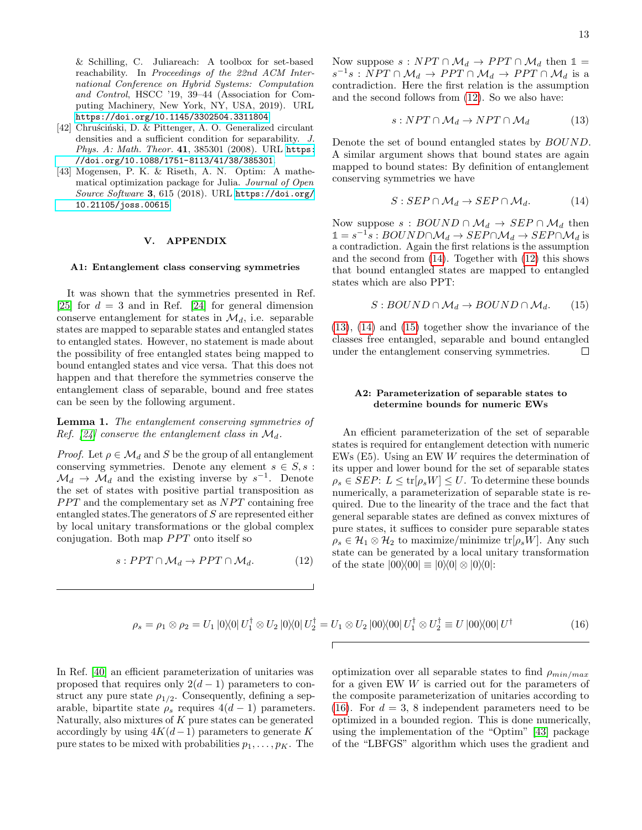& Schilling, C. Juliareach: A toolbox for set-based reachability. In Proceedings of the 22nd ACM International Conference on Hybrid Systems: Computation and Control, HSCC '19, 39–44 (Association for Computing Machinery, New York, NY, USA, 2019). URL <https://doi.org/10.1145/3302504.3311804>.

- <span id="page-12-1"></span>[42] Chruscinski, D. & Pittenger, A. O. Generalized circulant densities and a sufficient condition for separability. J. Phys. A: Math. Theor. 41, 385301 (2008). URL [https:](https://doi.org/10.1088/1751-8113/41/38/385301) [//doi.org/10.1088/1751-8113/41/38/385301](https://doi.org/10.1088/1751-8113/41/38/385301).
- <span id="page-12-7"></span>[43] Mogensen, P. K. & Riseth, A. N. Optim: A mathematical optimization package for Julia. Journal of Open Source Software 3, 615 (2018). URL [https://doi.org/](https://doi.org/10.21105/joss.00615) [10.21105/joss.00615](https://doi.org/10.21105/joss.00615).

# V. APPENDIX

#### A1: Entanglement class conserving symmetries

It was shown that the symmetries presented in Ref. [\[25\]](#page-11-13) for  $d = 3$  and in Ref. [\[24\]](#page-11-5) for general dimension conserve entanglement for states in  $\mathcal{M}_d$ , i.e. separable states are mapped to separable states and entangled states to entangled states. However, no statement is made about the possibility of free entangled states being mapped to bound entangled states and vice versa. That this does not happen and that therefore the symmetries conserve the entanglement class of separable, bound and free states can be seen by the following argument.

<span id="page-12-0"></span>Lemma 1. The entanglement conserving symmetries of Ref. [\[24\]](#page-11-5) conserve the entanglement class in  $\mathcal{M}_d$ .

*Proof.* Let  $\rho \in \mathcal{M}_d$  and S be the group of all entanglement conserving symmetries. Denote any element  $s \in S$ , s:  $\mathcal{M}_d \to \mathcal{M}_d$  and the existing inverse by  $s^{-1}$ . Denote the set of states with positive partial transposition as **PPT** and the complementary set as NPT containing free entangled states.The generators of S are represented either by local unitary transformations or the global complex conjugation. Both map  $PPT$  onto itself so

$$
s: PPT \cap \mathcal{M}_d \to PPT \cap \mathcal{M}_d. \tag{12}
$$

Now suppose  $s : NPT \cap \mathcal{M}_d \rightarrow PPT \cap \mathcal{M}_d$  then  $\mathbb{1} =$  $s^{-1}s: NPT \cap \mathcal{M}_d \to PPT \cap \mathcal{M}_d \to PPT \cap \mathcal{M}_d$  is a contradiction. Here the first relation is the assumption and the second follows from [\(12\)](#page-12-2). So we also have:

<span id="page-12-4"></span>
$$
s: NPT \cap \mathcal{M}_d \to NPT \cap \mathcal{M}_d \tag{13}
$$

Denote the set of bound entangled states by BOUND. A similar argument shows that bound states are again mapped to bound states: By definition of entanglement conserving symmetries we have

<span id="page-12-3"></span>
$$
S: SEP \cap \mathcal{M}_d \to SEP \cap \mathcal{M}_d. \tag{14}
$$

Now suppose  $s : BOUND \cap M_d \rightarrow SEP \cap M_d$  then  $1 = s^{-1}s : BOUND \cap \mathcal{M}_d \rightarrow SEP \cap \mathcal{M}_d \rightarrow SEP \cap \mathcal{M}_d$  is a contradiction. Again the first relations is the assumption and the second from [\(14\)](#page-12-3). Together with [\(12\)](#page-12-2) this shows that bound entangled states are mapped to entangled states which are also PPT:

<span id="page-12-5"></span>
$$
S: BOUND \cap \mathcal{M}_d \to BOUND \cap \mathcal{M}_d. \tag{15}
$$

[\(13\)](#page-12-4), [\(14\)](#page-12-3) and [\(15\)](#page-12-5) together show the invariance of the classes free entangled, separable and bound entangled under the entanglement conserving symmetries.  $\Box$ 

## A2: Parameterization of separable states to determine bounds for numeric EWs

An efficient parameterization of the set of separable states is required for entanglement detection with numeric EWs (E5). Using an EW W requires the determination of its upper and lower bound for the set of separable states  $\rho_s \in SEP: L \leq \text{tr}[\rho_s W] \leq U$ . To determine these bounds numerically, a parameterization of separable state is required. Due to the linearity of the trace and the fact that general separable states are defined as convex mixtures of pure states, it suffices to consider pure separable states  $\rho_s \in \mathcal{H}_1 \otimes \mathcal{H}_2$  to maximize/minimize tr $[\rho_s W]$ . Any such state can be generated by a local unitary transformation of the state  $|00\rangle\langle00| \equiv |0\rangle\langle0| \otimes |0\rangle\langle0|$ :

$$
\rho_s = \rho_1 \otimes \rho_2 = U_1 |0\rangle\langle 0| U_1^\dagger \otimes U_2 |0\rangle\langle 0| U_2^\dagger = U_1 \otimes U_2 |00\rangle\langle 00| U_1^\dagger \otimes U_2^\dagger \equiv U |00\rangle\langle 00| U^\dagger \tag{16}
$$

In Ref. [\[40\]](#page-11-22) an efficient parameterization of unitaries was proposed that requires only  $2(d-1)$  parameters to construct any pure state  $\rho_{1/2}$ . Consequently, defining a separable, bipartite state  $\rho_s$  requires  $4(d-1)$  parameters. Naturally, also mixtures of  $K$  pure states can be generated accordingly by using  $4K(d-1)$  parameters to generate K pure states to be mixed with probabilities  $p_1, \ldots, p_K$ . The

<span id="page-12-6"></span><span id="page-12-2"></span>optimization over all separable states to find  $\rho_{min/max}$ for a given EW W is carried out for the parameters of the composite parameterization of unitaries according to [\(16\)](#page-12-6). For  $d = 3$ , 8 independent parameters need to be optimized in a bounded region. This is done numerically, using the implementation of the "Optim" [\[43\]](#page-12-7) package of the "LBFGS" algorithm which uses the gradient and